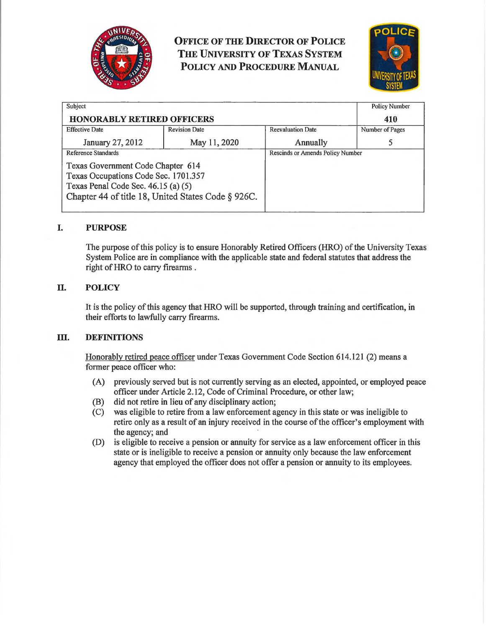

**OFFICE OF THE DIRECTOR OF POLICE THE UNIVERSITY OF TEXAS SYSTEM POLICY AND PROCEDURE MANUAL** 



| Subject<br><b>HONORABLY RETIRED OFFICERS</b>                                                                                                                           |                      |                                  | <b>Policy Number</b><br>410 |
|------------------------------------------------------------------------------------------------------------------------------------------------------------------------|----------------------|----------------------------------|-----------------------------|
| <b>Effective Date</b>                                                                                                                                                  | <b>Revision Date</b> | <b>Reevaluation Date</b>         | Number of Pages             |
| January 27, 2012                                                                                                                                                       | May 11, 2020         | Annually                         |                             |
| Reference Standards                                                                                                                                                    |                      | Rescinds or Amends Policy Number |                             |
| Texas Government Code Chapter 614<br>Texas Occupations Code Sec. 1701.357<br>Texas Penal Code Sec. 46.15 (a) (5)<br>Chapter 44 of title 18, United States Code § 926C. |                      |                                  |                             |

# **I. PURPOSE**

The purpose of this policy is to ensure Honorably Retired Officers (HRO) of the University Texas System Police are in compliance with the applicable state and federal statutes that address the right of HRO to carry firearms .

# **II. POLICY**

It is the policy of this agency that HRO will be supported, through training and certification, in their efforts to lawfully carry firearms.

# **III.** DEFINITIONS

Honorably retired peace officer under Texas Government Code Section 614.121 (2) means a former peace officer who:

- (A) previously served but is not currently serving as an elected, appointed, or employed peace officer under Article 2.12, Code of Criminal Procedure, or other law;
- (B) did not retire in lieu of any disciplinary action;
- (C) was eligible to retire from a law enforcement agency in this state or was ineligible to retire only as a result of an injury received in the course of the officer's employment with the agency; and
- (D) is eligible to receive a pension or annuity for service as a law enforcement officer in this state or is ineligible to receive a pension or annuity only because the law enforcement agency that employed the officer does not offer a pension or annuity to its employees.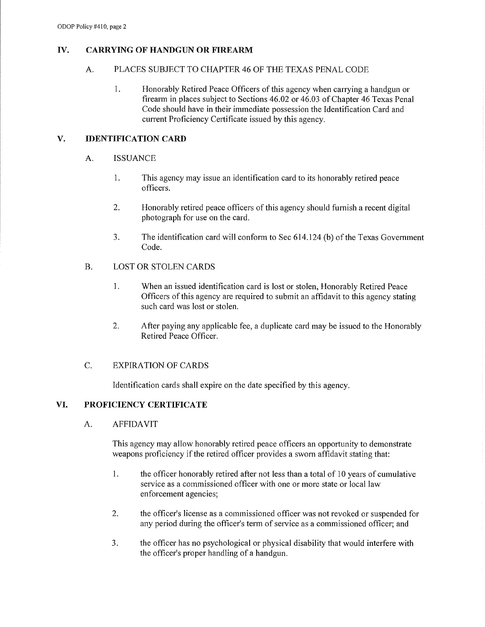## **IV. CARRYING OF HANDGUN OR FIREARM**

#### A. PLACES SUBJECT TO CHAPTER 46 OF THE TEXAS PENAL CODE

1. Honorably Retired Peace Officers of this agency when carrying a handgun or firearm in places subject to Sections 46.02 or 46.03 of Chapter 46 Texas Penal Code should have in their immediate possession the Identification Card and current Proficiency Certificate issued by this agency.

#### **V. IDENTIFICATION CARD**

- A. ISSUANCE
	- 1. This agency may issue an identification card to its honorably retired peace officers.
	- 2. Honorably retired peace officers of this agency should furnish a recent digital photograph for use on the card.
	- 3. The identification card will conform to Sec 614.124 (b) of the Texas Government Code.

## B. LOST OR STOLEN CARDS

- 1. When an issued identification card is lost or stolen, Honorably Retired Peace Officers of this agency are required to submit an affidavit to this agency stating such card was lost or stolen.
- 2. After paying any applicable fee, a duplicate card may be issued to the Honorably Retired Peace Officer.

## C. EXPIRATION OF CARDS

Identification cards shall expire on the date specified by this agency.

## **VI. PROFICIENCY CERTIFICATE**

A. AFFIDAVIT

This agency may allow honorably retired peace officers an opportunity to demonstrate weapons proficiency if the retired officer provides a sworn affidavit stating that:

- 1. the officer honorably retired after not less than a total of 10 years of cumulative service as a commissioned officer with one or more state or local law enforcement agencies;
- 2. the officer's license as a commissioned officer was not revoked or suspended for any period during the officer's term of service as a commissioned officer; and
- 3. the officer has no psychological or physical disability that would interfere with the officer's proper handling of a handgun.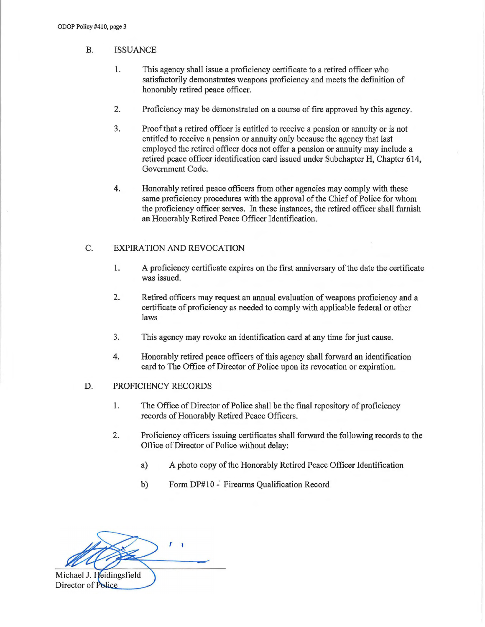- B. ISSUANCE
	- 1. This agency shall issue a proficiency certificate to a retired officer who satisfactorily demonstrates weapons proficiency and meets the definition of honorably retired peace officer.
	- 2. Proficiency may be demonstrated on a course of fire approved by this agency.
	- 3. Proof that a retired officer is entitled to receive a pension or annuity or is not entitled to receive a pension or annuity only because the agency that last employed the retired officer does not offer a pension or annuity may include a retired peace officer identification card issued under Subchapter H, Chapter 614, Government Code.
	- 4. Honorably retired peace officers from other agencies may comply with these same proficiency procedures with the approval of the Chief of Police for whom the proficiency officer serves. In these instances, the retired officer shall furnish an Honorably Retired Peace Officer Identification.

# C. EXPIRATION AND REVOCATION

- 1. A proficiency certificate expires on the first anniversary of the date the certificate was issued.
- 2. Retired officers may request an annual evaluation of weapons proficiency and a certificate of proficiency as needed to comply with applicable federal or other laws
- 3. This agency may revoke an identification card at any time for just cause.
- 4. Honorably retired peace officers of this agency shall forward an identification card to The Office of Director of Police upon its revocation or expiration.

#### D. PROFICIENCY RECORDS

- 1. The Office of Director of Police shall be the final repository of proficiency records of Honorably Retired Peace Officers.
- 2. Proficiency officers issuing certificates shall forward the following records to the Office of Director of Police without delay:
	- a) A photo copy of the Honorably Retired Peace Officer Identification
	- b) Form DP#10 Firearms Qualification Record

T I Michael J. Heidingsfield Director of Police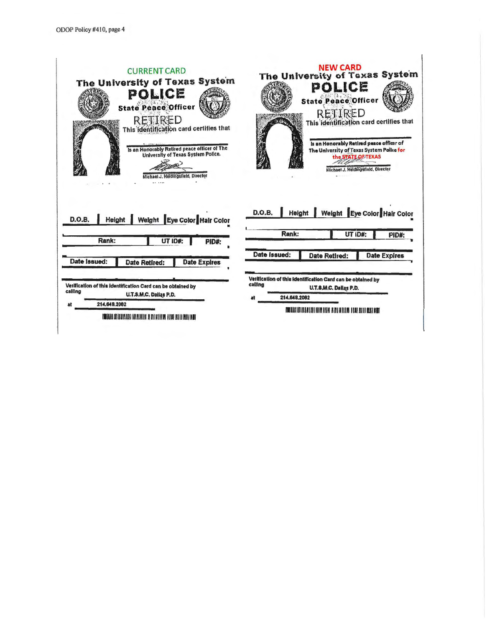| The University of Texas System<br>POLICE<br><b>State Peace Officer</b><br>RETIRED<br>This identification card certifies that<br>Is an Honorably Retired peace officer of The<br>University of Texas System Police.<br>Michael J. Heidingsfield, Director<br> | <b>NEW CARD</b><br>The University of Texas System<br>POLICE<br><b>State Peace Officer</b><br>RETIRED<br>This identification card certifies that<br>Is an Honorably Retired peace officer of<br>The University of Texas System Police for<br>the STATE OF TEXAS<br>Michael J. Heidingsfield, Director |
|--------------------------------------------------------------------------------------------------------------------------------------------------------------------------------------------------------------------------------------------------------------|------------------------------------------------------------------------------------------------------------------------------------------------------------------------------------------------------------------------------------------------------------------------------------------------------|
| Weight Eye Color Hair Color<br><b>D.O.B.</b><br>Height                                                                                                                                                                                                       | Height   Weight Eye Color Hair Color<br><b>D.O.B.</b>                                                                                                                                                                                                                                                |
|                                                                                                                                                                                                                                                              | Rank:<br>UT ID#:<br>PID#:                                                                                                                                                                                                                                                                            |
| Rank:<br>UT ID#:<br>PID#:                                                                                                                                                                                                                                    | Date Issued:<br><b>Date Retired:</b><br><b>Date Expires</b>                                                                                                                                                                                                                                          |
| Date issued:<br><b>Date Expires</b><br><b>Date Retired:</b>                                                                                                                                                                                                  |                                                                                                                                                                                                                                                                                                      |
| Verification of this identification Card can be obtained by                                                                                                                                                                                                  | Verification of this identification Card can be obtained by<br>calling<br>U.T.S.M.C. Dallas P.D.                                                                                                                                                                                                     |
| calling<br>U.T.S.M.C. Dallas P.D.                                                                                                                                                                                                                            | 214.648.2082<br>at                                                                                                                                                                                                                                                                                   |
| 214.648.2082<br>at                                                                                                                                                                                                                                           |                                                                                                                                                                                                                                                                                                      |